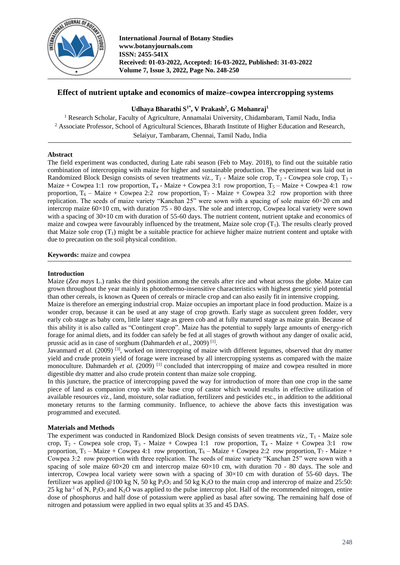

# **Effect of nutrient uptake and economics of maize–cowpea intercropping systems**

## **Udhaya Bharathi S1\*, V Prakash<sup>2</sup> , G Mohanraj<sup>1</sup>**

<sup>1</sup> Research Scholar, Faculty of Agriculture, Annamalai University, Chidambaram, Tamil Nadu, India <sup>2</sup> Associate Professor, School of Agricultural Sciences, Bharath Institute of Higher Education and Research, Selaiyur, Tambaram, Chennai, Tamil Nadu, India

#### **Abstract**

The field experiment was conducted, during Late rabi season (Feb to May. 2018), to find out the suitable ratio combination of intercropping with maize for higher and sustainable production. The experiment was laid out in Randomized Block Design consists of seven treatments *viz.*, T<sub>1</sub> - Maize sole crop, T<sub>2</sub> - Cowpea sole crop, T<sub>3</sub> -Maize + Cowpea 1:1 row proportion,  $T_4$  - Maize + Cowpea 3:1 row proportion,  $T_5$  – Maize + Cowpea 4:1 row proportion,  $T_6$  – Maize + Cowpea 2:2 row proportion,  $T_7$  - Maize + Cowpea 3:2 row proportion with three replication. The seeds of maize variety "Kanchan 25" were sown with a spacing of sole maize 60×20 cm and intercrop maize 60×10 cm, with duration 75 - 80 days. The sole and intercrop, Cowpea local variety were sown with a spacing of  $30\times10$  cm with duration of 55-60 days. The nutrient content, nutrient uptake and economics of maize and cowpea were favourably influenced by the treatment, Maize sole crop  $(T_1)$ . The results clearly proved that Maize sole crop  $(T_1)$  might be a suitable practice for achieve higher maize nutrient content and uptake with due to precaution on the soil physical condition.

**Keywords:** maize and cowpea

#### **Introduction**

Maize (*Zea mays* L.) ranks the third position among the cereals after rice and wheat across the globe. Maize can grown throughout the year mainly its photothermo-insensitive characteristics with highest genetic yield potential than other cereals, is known as Queen of cereals or miracle crop and can also easily fit in intensive cropping.

Maize is therefore an emerging industrial crop. Maize occupies an important place in food production. Maize is a wonder crop, because it can be used at any stage of crop growth. Early stage as succulent green fodder, very early cob stage as baby corn, little later stage as green cob and at fully matured stage as maize grain. Because of this ability it is also called as "Contingent crop". Maize has the potential to supply large amounts of energy-rich forage for animal diets, and its fodder can safely be fed at all stages of growth without any danger of oxalic acid, prussic acid as in case of sorghum (Dahmardeh et al., 2009)<sup>[1]</sup>.

Javanmard *et al.* (2009)<sup>[3]</sup>, worked on intercropping of maize with different legumes, observed that dry matter yield and crude protein yield of forage were increased by all intercropping systems as compared with the maize monoculture. Dahmardeh *et al.* (2009)<sup>[1]</sup> concluded that intercropping of maize and cowpea resulted in more digestible dry matter and also crude protein content than maize sole cropping.

In this juncture, the practice of intercropping paved the way for introduction of more than one crop in the same piece of land as companion crop with the base crop of castor which would results in effective utilization of available resources *viz.,* land, moisture, solar radiation, fertilizers and pesticides etc., in addition to the additional monetary returns to the farming community. Influence, to achieve the above facts this investigation was programmed and executed.

#### **Materials and Methods**

The experiment was conducted in Randomized Block Design consists of seven treatments  $viz, T_1$  - Maize sole crop,  $T_2$  - Cowpea sole crop,  $T_3$  - Maize + Cowpea 1:1 row proportion,  $T_4$  - Maize + Cowpea 3:1 row proportion,  $T_5$  – Maize + Cowpea 4:1 row proportion,  $T_6$  – Maize + Cowpea 2:2 row proportion,  $T_7$  - Maize + Cowpea 3:2 row proportion with three replication. The seeds of maize variety "Kanchan 25" were sown with a spacing of sole maize  $60\times20$  cm and intercrop maize  $60\times10$  cm, with duration 70 - 80 days. The sole and intercrop, Cowpea local variety were sown with a spacing of  $30\times10$  cm with duration of 55-60 days. The fertilizer was applied @100 kg N, 50 kg P<sub>2</sub>O<sub>5</sub> and 50 kg K<sub>2</sub>O to the main crop and intercrop of maize and 25:50: 25 kg ha<sup>-1</sup> of N, P<sub>2</sub>O<sub>5</sub> and K<sub>2</sub>O was applied to the pulse intercrop plot. Half of the recommended nitrogen, entire dose of phosphorus and half dose of potassium were applied as basal after sowing. The remaining half dose of nitrogen and potassium were applied in two equal splits at 35 and 45 DAS.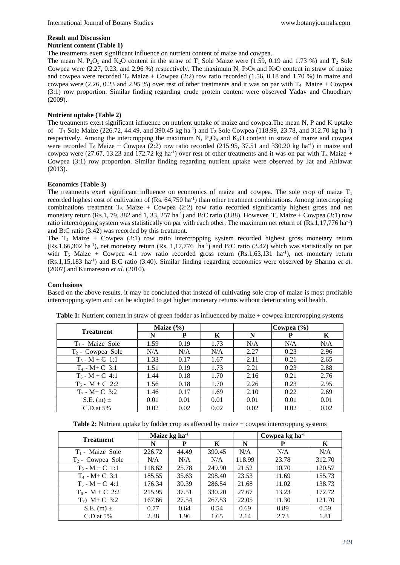# **Result and Discussion**

#### **Nutrient content (Table 1)**

The treatments exert significant influence on nutrient content of maize and cowpea.

The mean N,  $P_2O_5$  and  $K_2O$  content in the straw of  $T_1$  Sole Maize were (1.59, 0.19 and 1.73 %) and  $T_2$  Sole Cowpea were  $(2.27, 0.23,$  and  $2.96\%$ ) respectively. The maximum N,  $P_2O_5$  and  $K_2O$  content in straw of maize and cowpea were recorded  $T_6$  Maize + Cowpea (2:2) row ratio recorded (1.56, 0.18 and 1.70 %) in maize and cowpea were (2.26, 0.23 and 2.95 %) over rest of other treatments and it was on par with  $T_4$  Maize + Cowpea (3:1) row proportion. Similar finding regarding crude protein content were observed Yadav and Chuodhary (2009).

#### **Nutrient uptake (Table 2)**

The treatments exert significant influence on nutrient uptake of maize and cowpea.The mean N, P and K uptake of  $T_1$  Sole Maize (226.72, 44.49, and 390.45 kg ha<sup>-1</sup>) and  $T_2$  Sole Cowpea (118.99, 23.78, and 312.70 kg ha<sup>-1</sup>) respectively. Among the intercropping the maximum N,  $P_2O_5$  and  $K_2O$  content in straw of maize and cowpea were recorded  $T_6$  Maize + Cowpea (2:2) row ratio recorded (215.95, 37.51 and 330.20 kg ha<sup>-1</sup>) in maize and cowpea were (27.67, 13.23 and 172.72 kg ha<sup>-1</sup>) over rest of other treatments and it was on par with  $T_4$  Maize + Cowpea (3:1) row proportion. Similar finding regarding nutrient uptake were observed by Jat and Ahlawat (2013).

## **Economics (Table 3)**

The treatments exert significant influence on economics of maize and cowpea. The sole crop of maize  $T_1$ recorded highest cost of cultivation of  $(Rs. 64,750 h a^{-1})$  than other treatment combinations. Among intercropping combinations treatment  $T_6$  Maize + Cowpea (2:2) row ratio recorded significantly highest gross and net monetary return (Rs.1, 79, 382 and 1, 33, 257 ha<sup>-1</sup>) and B:C ratio (3.88). However,  $T_4$  Maize + Cowpea (3:1) row ratio intercropping system was statistically on par with each other. The maximum net return of (Rs.1,17,776 ha<sup>-1</sup>) and B:C ratio (3.42) was recorded by this treatment.

The T<sup>4</sup> Maize + Cowpea (3:1) row ratio intercropping system recorded highest gross monetary return  $(Rs.1,66,302 \text{ ha}^{-1})$ , net monetary return  $(Rs. 1,17,776 \text{ ha}^{-1})$  and B:C ratio  $(3.42)$  which was statistically on par with  $T_5$  Maize + Cowpea 4:1 row ratio recorded gross return (Rs.1,63,131 ha<sup>-1</sup>), net monetary return (Rs.1,15,183 ha-1 ) and B:C ratio (3.40). Similar finding regarding economics were observed by Sharma *et al.* (2007) and Kumaresan *et al.* (2010).

#### **Conclusions**

Based on the above results, it may be concluded that instead of cultivating sole crop of maize is most profitable intercropping sytem and can be adopted to get higher monetary returns without deteriorating soil health.

| <b>Treatment</b>    | Maize $(\% )$ |      |      |      | Cowpea $(\% )$ |      |
|---------------------|---------------|------|------|------|----------------|------|
|                     | N             | P    | K    | N    | P              | K    |
| $T_1$ - Maize Sole  | 1.59          | 0.19 | 1.73 | N/A  | N/A            | N/A  |
| $T_2$ - Cowpea Sole | N/A           | N/A  | N/A  | 2.27 | 0.23           | 2.96 |
| $T_3 - M + C$ 1:1   | 1.33          | 0.17 | 1.67 | 2.11 | 0.21           | 2.65 |
| $T_4$ - M+ C 3:1    | 1.51          | 0.19 | 1.73 | 2.21 | 0.23           | 2.88 |
| $T_5$ - M + C 4:1   | 1.44          | 0.18 | 1.70 | 2.16 | 0.21           | 2.76 |
| $T_6$ - M + C 2:2   | 1.56          | 0.18 | 1.70 | 2.26 | 0.23           | 2.95 |
| $T_7$ - M+ C 3:2    | 1.46          | 0.17 | 1.69 | 2.10 | 0.22           | 2.69 |
| S.E. (m) $\pm$      | 0.01          | 0.01 | 0.01 | 0.01 | 0.01           | 0.01 |
| $C.D.$ at 5%        | 0.02          | 0.02 | 0.02 | 0.02 | 0.02           | 0.02 |

**Table 1:** Nutrient content in straw of green fodder as influenced by maize + cowpea intercropping systems

**Table 2:** Nutrient uptake by fodder crop as affected by maize + cowpea intercropping systems

| <b>Treatment</b>    | Maize $kg$ ha <sup>-1</sup> |       |        |        | Cowpea kg ha <sup>1</sup> |        |
|---------------------|-----------------------------|-------|--------|--------|---------------------------|--------|
|                     | N                           | P     | K      | N      |                           | K      |
| $T_1$ - Maize Sole  | 226.72                      | 44.49 | 390.45 | N/A    | N/A                       | N/A    |
| $T_2$ - Cowpea Sole | N/A                         | N/A   | N/A    | 118.99 | 23.78                     | 312.70 |
| $T_3 - M + C$ 1:1   | 118.62                      | 25.78 | 249.90 | 21.52  | 10.70                     | 120.57 |
| $T_4$ - M+ C 3:1    | 185.55                      | 35.63 | 298.40 | 23.53  | 11.69                     | 155.73 |
| $T_5 - M + C$ 4:1   | 176.34                      | 30.39 | 286.54 | 21.68  | 11.02                     | 138.73 |
| $T_6$ - M + C 2:2   | 215.95                      | 37.51 | 330.20 | 27.67  | 13.23                     | 172.72 |
| $T_7$ ) M+C 3:2     | 167.66                      | 27.54 | 267.53 | 22.05  | 11.30                     | 121.70 |
| S.E. (m) $\pm$      | 0.77                        | 0.64  | 0.54   | 0.69   | 0.89                      | 0.59   |
| $C.D.$ at 5%        | 2.38                        | 1.96  | 1.65   | 2.14   | 2.73                      | 1.81   |